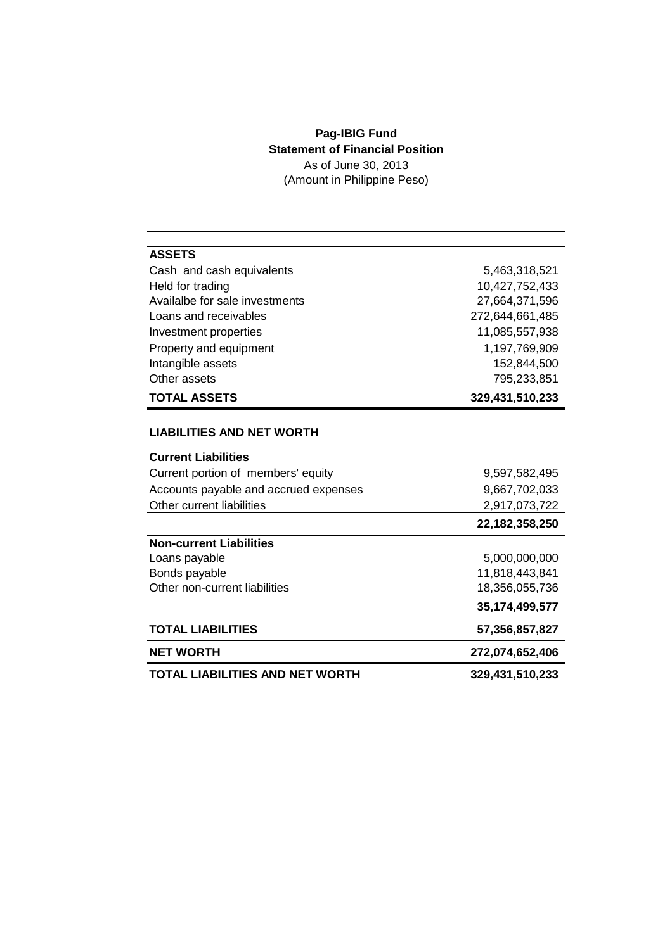## **Pag-IBIG Fund Statement of Financial Position** As of June 30, 2013

(Amount in Philippine Peso)

| <b>ASSETS</b>                          |                 |
|----------------------------------------|-----------------|
| Cash and cash equivalents              | 5,463,318,521   |
| Held for trading                       | 10,427,752,433  |
| Availalbe for sale investments         | 27,664,371,596  |
| Loans and receivables                  | 272,644,661,485 |
| Investment properties                  | 11,085,557,938  |
| Property and equipment                 | 1,197,769,909   |
| Intangible assets                      | 152,844,500     |
| Other assets                           | 795,233,851     |
| <b>TOTAL ASSETS</b>                    | 329,431,510,233 |
|                                        |                 |
| <b>LIABILITIES AND NET WORTH</b>       |                 |
| <b>Current Liabilities</b>             |                 |
| Current portion of members' equity     | 9,597,582,495   |
| Accounts payable and accrued expenses  | 9,667,702,033   |
| Other current liabilities              | 2,917,073,722   |
|                                        | 22,182,358,250  |
| <b>Non-current Liabilities</b>         |                 |
| Loans payable                          | 5,000,000,000   |
| Bonds payable                          | 11,818,443,841  |
| Other non-current liabilities          | 18,356,055,736  |
|                                        | 35,174,499,577  |
| <b>TOTAL LIABILITIES</b>               | 57,356,857,827  |
| <b>NET WORTH</b>                       | 272,074,652,406 |
| <b>TOTAL LIABILITIES AND NET WORTH</b> | 329,431,510,233 |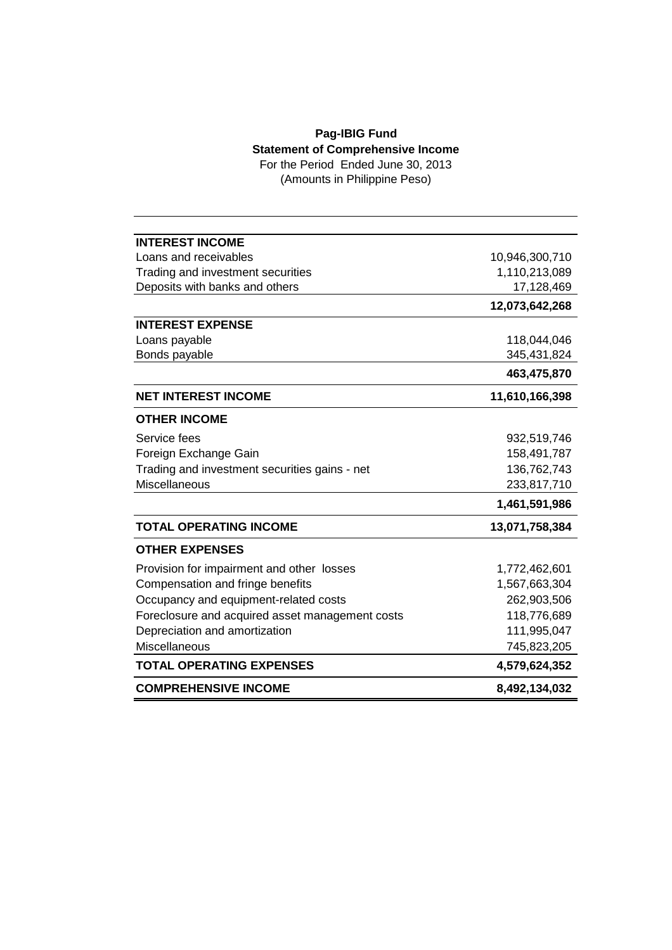## **Pag-IBIG Fund Statement of Comprehensive Income**

For the Period Ended June 30, 2013 (Amounts in Philippine Peso)

| <b>INTEREST INCOME</b>                          |                |
|-------------------------------------------------|----------------|
| Loans and receivables                           | 10,946,300,710 |
| Trading and investment securities               | 1,110,213,089  |
| Deposits with banks and others                  | 17,128,469     |
|                                                 | 12,073,642,268 |
| <b>INTEREST EXPENSE</b>                         |                |
| Loans payable                                   | 118,044,046    |
| Bonds payable                                   | 345,431,824    |
|                                                 | 463,475,870    |
| <b>NET INTEREST INCOME</b>                      | 11,610,166,398 |
| <b>OTHER INCOME</b>                             |                |
| Service fees                                    | 932,519,746    |
| Foreign Exchange Gain                           | 158,491,787    |
| Trading and investment securities gains - net   | 136,762,743    |
| <b>Miscellaneous</b>                            | 233,817,710    |
|                                                 | 1,461,591,986  |
| <b>TOTAL OPERATING INCOME</b>                   | 13,071,758,384 |
| <b>OTHER EXPENSES</b>                           |                |
| Provision for impairment and other losses       | 1,772,462,601  |
| Compensation and fringe benefits                | 1,567,663,304  |
| Occupancy and equipment-related costs           | 262,903,506    |
| Foreclosure and acquired asset management costs | 118,776,689    |
| Depreciation and amortization                   | 111,995,047    |
| <b>Miscellaneous</b>                            | 745,823,205    |
| <b>TOTAL OPERATING EXPENSES</b>                 | 4,579,624,352  |
| <b>COMPREHENSIVE INCOME</b>                     | 8,492,134,032  |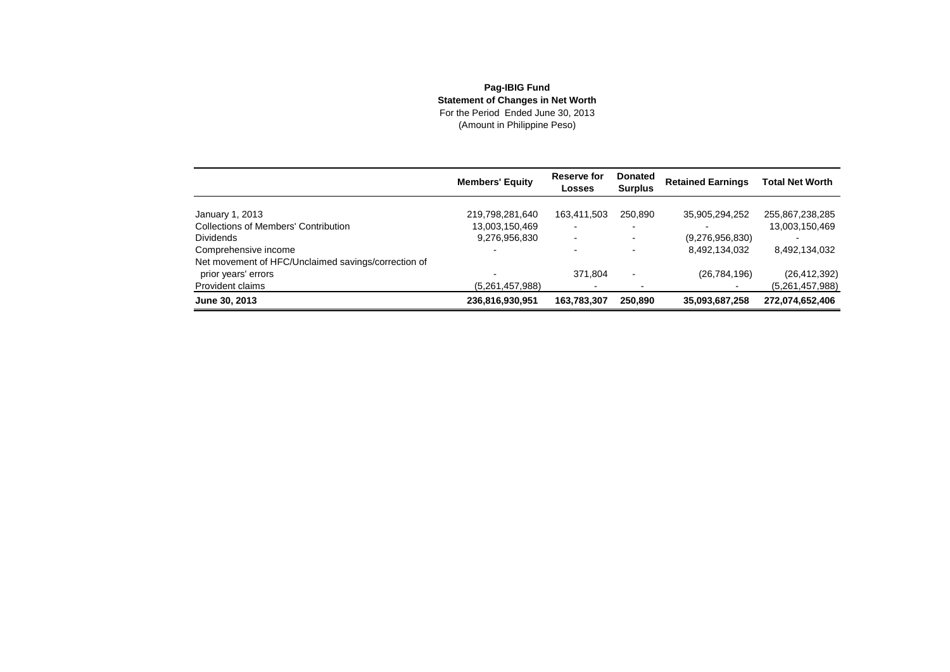## **Pag-IBIG Fund Statement of Changes in Net Worth** For the Period Ended June 30, 2013(Amount in Philippine Peso)

|                                                     | <b>Members' Equity</b> | Reserve for<br>Losses    | <b>Donated</b><br><b>Surplus</b> | <b>Retained Earnings</b> | <b>Total Net Worth</b> |
|-----------------------------------------------------|------------------------|--------------------------|----------------------------------|--------------------------|------------------------|
| January 1, 2013                                     | 219,798,281,640        | 163,411,503              | 250.890                          | 35,905,294,252           | 255,867,238,285        |
| <b>Collections of Members' Contribution</b>         | 13,003,150,469         | $\overline{\phantom{0}}$ |                                  |                          | 13,003,150,469         |
| <b>Dividends</b>                                    | 9,276,956,830          | $\overline{\phantom{0}}$ |                                  | (9,276,956,830)          |                        |
| Comprehensive income                                |                        |                          |                                  | 8,492,134,032            | 8,492,134,032          |
| Net movement of HFC/Unclaimed savings/correction of |                        |                          |                                  |                          |                        |
| prior years' errors                                 |                        | 371.804                  |                                  | (26, 784, 196)           | (26, 412, 392)         |
| Provident claims                                    | (5,261,457,988)        |                          |                                  |                          | (5,261,457,988)        |
| June 30, 2013                                       | 236,816,930,951        | 163,783,307              | 250,890                          | 35,093,687,258           | 272,074,652,406        |